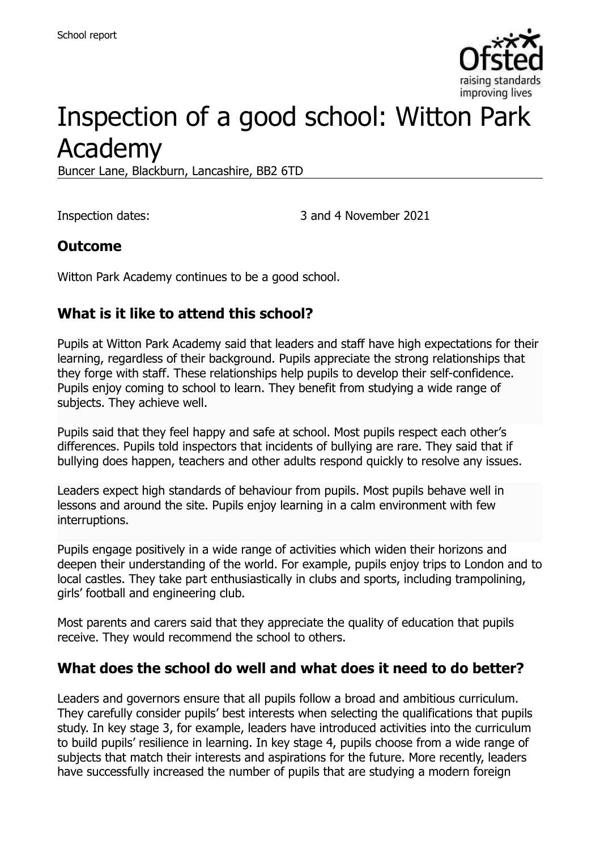

# Inspection of a good school: Witton Park Academy

Buncer Lane, Blackburn, Lancashire, BB2 6TD

Inspection dates: 3 and 4 November 2021

#### **Outcome**

Witton Park Academy continues to be a good school.

#### **What is it like to attend this school?**

Pupils at Witton Park Academy said that leaders and staff have high expectations for their learning, regardless of their background. Pupils appreciate the strong relationships that they forge with staff. These relationships help pupils to develop their self-confidence. Pupils enjoy coming to school to learn. They benefit from studying a wide range of subjects. They achieve well.

Pupils said that they feel happy and safe at school. Most pupils respect each other's differences. Pupils told inspectors that incidents of bullying are rare. They said that if bullying does happen, teachers and other adults respond quickly to resolve any issues.

Leaders expect high standards of behaviour from pupils. Most pupils behave well in lessons and around the site. Pupils enjoy learning in a calm environment with few interruptions.

Pupils engage positively in a wide range of activities which widen their horizons and deepen their understanding of the world. For example, pupils enjoy trips to London and to local castles. They take part enthusiastically in clubs and sports, including trampolining, girls' football and engineering club.

Most parents and carers said that they appreciate the quality of education that pupils receive. They would recommend the school to others.

#### **What does the school do well and what does it need to do better?**

Leaders and governors ensure that all pupils follow a broad and ambitious curriculum. They carefully consider pupils' best interests when selecting the qualifications that pupils study. In key stage 3, for example, leaders have introduced activities into the curriculum to build pupils' resilience in learning. In key stage 4, pupils choose from a wide range of subjects that match their interests and aspirations for the future. More recently, leaders have successfully increased the number of pupils that are studying a modern foreign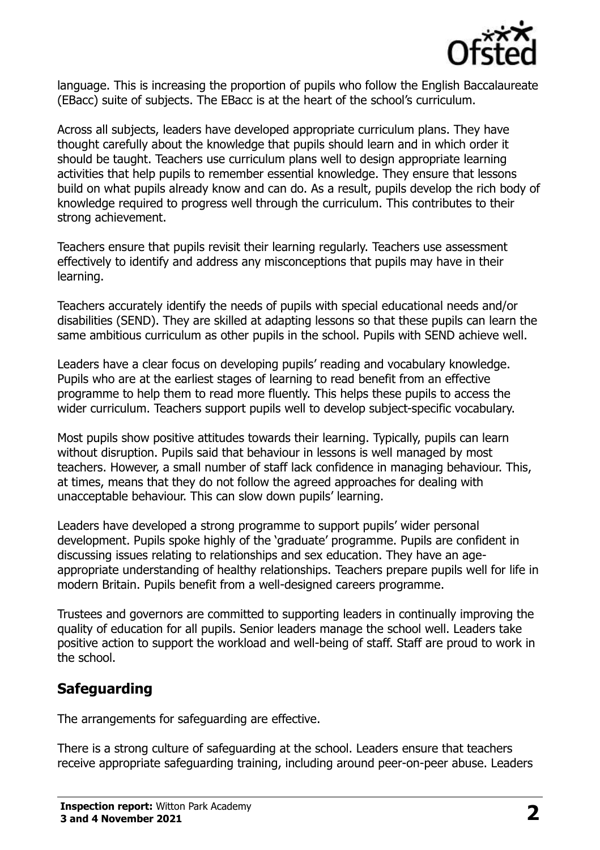

language. This is increasing the proportion of pupils who follow the English Baccalaureate (EBacc) suite of subjects. The EBacc is at the heart of the school's curriculum.

Across all subjects, leaders have developed appropriate curriculum plans. They have thought carefully about the knowledge that pupils should learn and in which order it should be taught. Teachers use curriculum plans well to design appropriate learning activities that help pupils to remember essential knowledge. They ensure that lessons build on what pupils already know and can do. As a result, pupils develop the rich body of knowledge required to progress well through the curriculum. This contributes to their strong achievement.

Teachers ensure that pupils revisit their learning regularly. Teachers use assessment effectively to identify and address any misconceptions that pupils may have in their learning.

Teachers accurately identify the needs of pupils with special educational needs and/or disabilities (SEND). They are skilled at adapting lessons so that these pupils can learn the same ambitious curriculum as other pupils in the school. Pupils with SEND achieve well.

Leaders have a clear focus on developing pupils' reading and vocabulary knowledge. Pupils who are at the earliest stages of learning to read benefit from an effective programme to help them to read more fluently. This helps these pupils to access the wider curriculum. Teachers support pupils well to develop subject-specific vocabulary.

Most pupils show positive attitudes towards their learning. Typically, pupils can learn without disruption. Pupils said that behaviour in lessons is well managed by most teachers. However, a small number of staff lack confidence in managing behaviour. This, at times, means that they do not follow the agreed approaches for dealing with unacceptable behaviour. This can slow down pupils' learning.

Leaders have developed a strong programme to support pupils' wider personal development. Pupils spoke highly of the 'graduate' programme. Pupils are confident in discussing issues relating to relationships and sex education. They have an ageappropriate understanding of healthy relationships. Teachers prepare pupils well for life in modern Britain. Pupils benefit from a well-designed careers programme.

Trustees and governors are committed to supporting leaders in continually improving the quality of education for all pupils. Senior leaders manage the school well. Leaders take positive action to support the workload and well-being of staff. Staff are proud to work in the school.

# **Safeguarding**

The arrangements for safeguarding are effective.

There is a strong culture of safeguarding at the school. Leaders ensure that teachers receive appropriate safeguarding training, including around peer-on-peer abuse. Leaders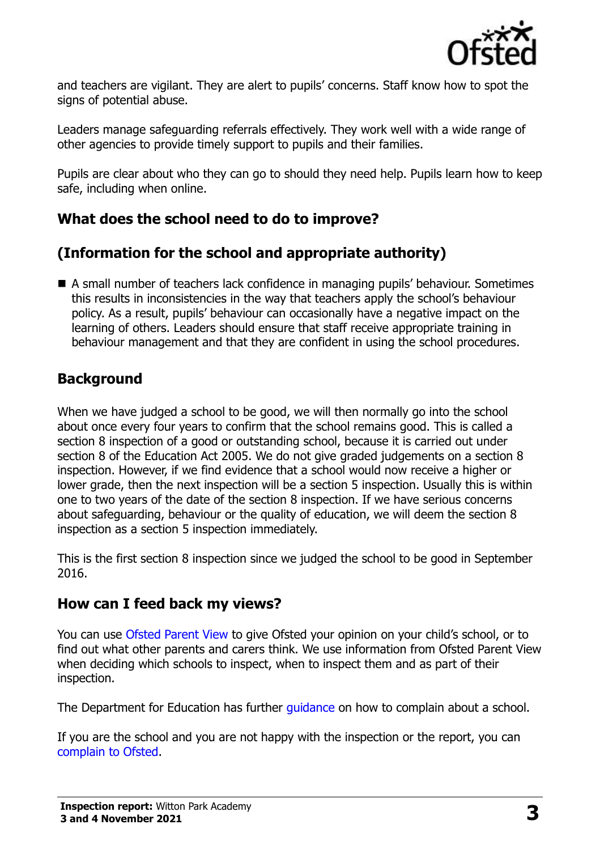

and teachers are vigilant. They are alert to pupils' concerns. Staff know how to spot the signs of potential abuse.

Leaders manage safeguarding referrals effectively. They work well with a wide range of other agencies to provide timely support to pupils and their families.

Pupils are clear about who they can go to should they need help. Pupils learn how to keep safe, including when online.

# **What does the school need to do to improve?**

# **(Information for the school and appropriate authority)**

■ A small number of teachers lack confidence in managing pupils' behaviour. Sometimes this results in inconsistencies in the way that teachers apply the school's behaviour policy. As a result, pupils' behaviour can occasionally have a negative impact on the learning of others. Leaders should ensure that staff receive appropriate training in behaviour management and that they are confident in using the school procedures.

# **Background**

When we have judged a school to be good, we will then normally go into the school about once every four years to confirm that the school remains good. This is called a section 8 inspection of a good or outstanding school, because it is carried out under section 8 of the Education Act 2005. We do not give graded judgements on a section 8 inspection. However, if we find evidence that a school would now receive a higher or lower grade, then the next inspection will be a section 5 inspection. Usually this is within one to two years of the date of the section 8 inspection. If we have serious concerns about safeguarding, behaviour or the quality of education, we will deem the section 8 inspection as a section 5 inspection immediately.

This is the first section 8 inspection since we judged the school to be good in September 2016.

#### **How can I feed back my views?**

You can use [Ofsted Parent View](https://parentview.ofsted.gov.uk/) to give Ofsted your opinion on your child's school, or to find out what other parents and carers think. We use information from Ofsted Parent View when deciding which schools to inspect, when to inspect them and as part of their inspection.

The Department for Education has further quidance on how to complain about a school.

If you are the school and you are not happy with the inspection or the report, you can [complain to Ofsted.](https://www.gov.uk/complain-ofsted-report)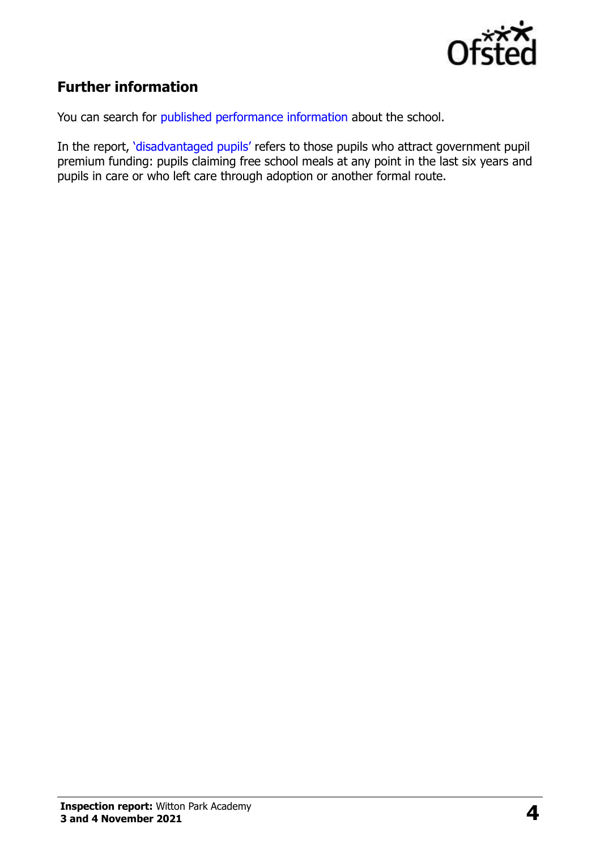

# **Further information**

You can search for [published performance information](http://www.compare-school-performance.service.gov.uk/) about the school.

In the report, '[disadvantaged pupils](http://www.gov.uk/guidance/pupil-premium-information-for-schools-and-alternative-provision-settings)' refers to those pupils who attract government pupil premium funding: pupils claiming free school meals at any point in the last six years and pupils in care or who left care through adoption or another formal route.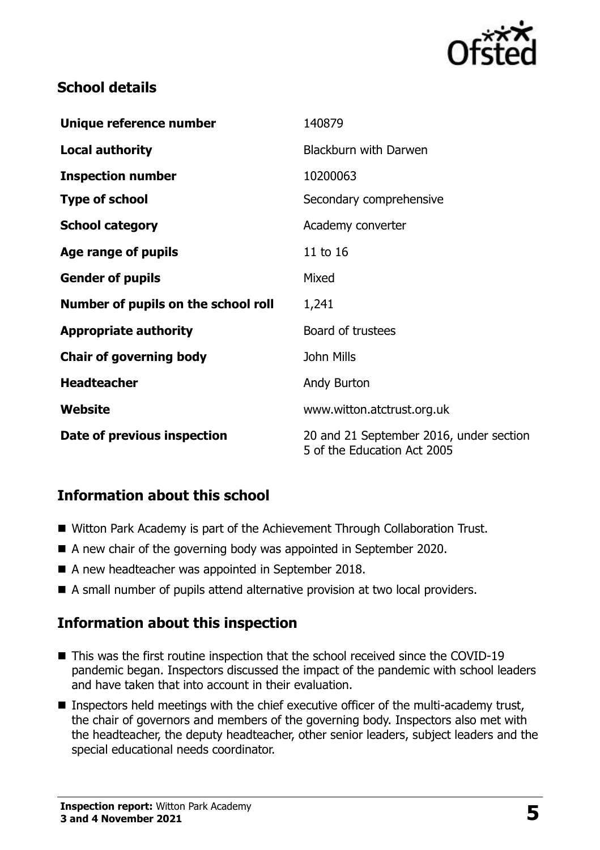

#### **School details**

| Unique reference number             | 140879                                                                 |
|-------------------------------------|------------------------------------------------------------------------|
| <b>Local authority</b>              | <b>Blackburn with Darwen</b>                                           |
| <b>Inspection number</b>            | 10200063                                                               |
| <b>Type of school</b>               | Secondary comprehensive                                                |
| <b>School category</b>              | Academy converter                                                      |
| Age range of pupils                 | 11 to 16                                                               |
| <b>Gender of pupils</b>             | Mixed                                                                  |
| Number of pupils on the school roll | 1,241                                                                  |
| <b>Appropriate authority</b>        | Board of trustees                                                      |
| <b>Chair of governing body</b>      | <b>John Mills</b>                                                      |
| <b>Headteacher</b>                  | Andy Burton                                                            |
| Website                             | www.witton.atctrust.org.uk                                             |
| Date of previous inspection         | 20 and 21 September 2016, under section<br>5 of the Education Act 2005 |

# **Information about this school**

- Witton Park Academy is part of the Achievement Through Collaboration Trust.
- A new chair of the governing body was appointed in September 2020.
- A new headteacher was appointed in September 2018.
- A small number of pupils attend alternative provision at two local providers.

#### **Information about this inspection**

- This was the first routine inspection that the school received since the COVID-19 pandemic began. Inspectors discussed the impact of the pandemic with school leaders and have taken that into account in their evaluation.
- Inspectors held meetings with the chief executive officer of the multi-academy trust, the chair of governors and members of the governing body. Inspectors also met with the headteacher, the deputy headteacher, other senior leaders, subject leaders and the special educational needs coordinator.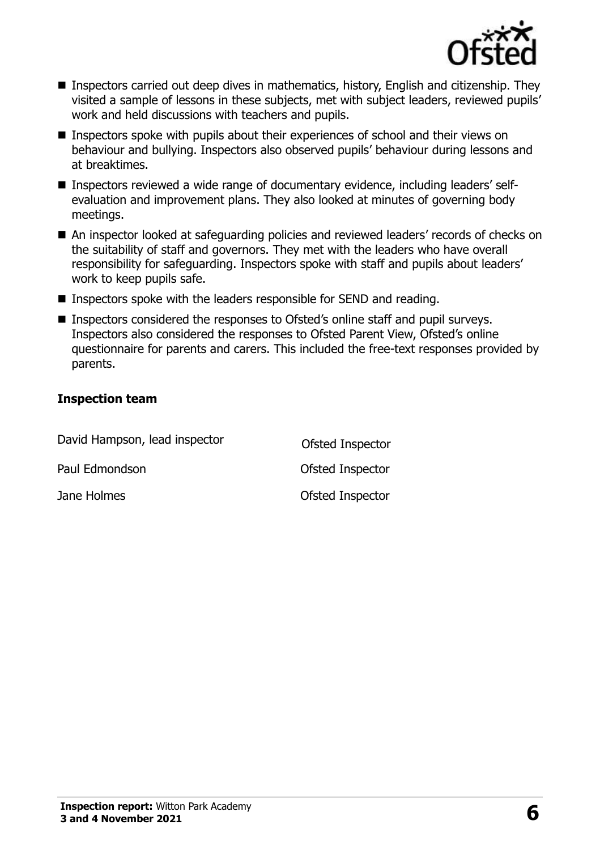

- Inspectors carried out deep dives in mathematics, history, English and citizenship. They visited a sample of lessons in these subjects, met with subject leaders, reviewed pupils' work and held discussions with teachers and pupils.
- Inspectors spoke with pupils about their experiences of school and their views on behaviour and bullying. Inspectors also observed pupils' behaviour during lessons and at breaktimes.
- Inspectors reviewed a wide range of documentary evidence, including leaders' selfevaluation and improvement plans. They also looked at minutes of governing body meetings.
- An inspector looked at safeguarding policies and reviewed leaders' records of checks on the suitability of staff and governors. They met with the leaders who have overall responsibility for safeguarding. Inspectors spoke with staff and pupils about leaders' work to keep pupils safe.
- Inspectors spoke with the leaders responsible for SEND and reading.
- Inspectors considered the responses to Ofsted's online staff and pupil surveys. Inspectors also considered the responses to Ofsted Parent View, Ofsted's online questionnaire for parents and carers. This included the free-text responses provided by parents.

#### **Inspection team**

| David Hampson, lead inspector | Ofsted Inspector |
|-------------------------------|------------------|
| Paul Edmondson                | Ofsted Inspector |
| Jane Holmes                   | Ofsted Inspector |